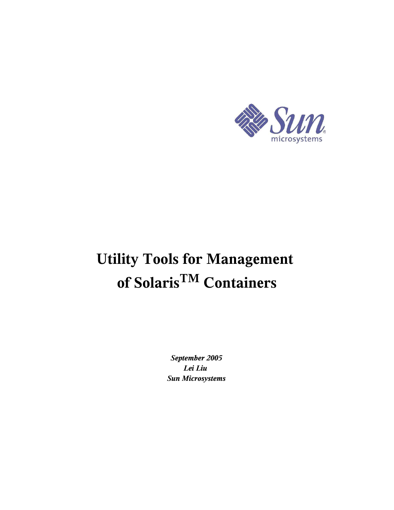

# **Utility Tools for Management of Solaris TM Containers**

*September 2005 Lei Liu Sun Microsystems*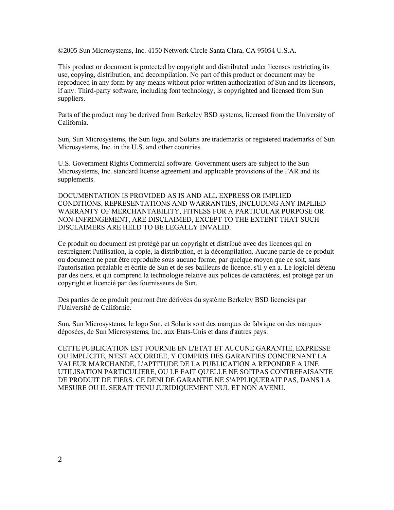©2005 Sun Microsystems, Inc. 4150 Network Circle Santa Clara, CA 95054 U.S.A.

This product or document is protected by copyright and distributed under licenses restricting its use, copying, distribution, and decompilation. No part of this product or document may be reproduced in any form by any means without prior written authorization of Sun and its licensors, if any. Third-party software, including font technology, is copyrighted and licensed from Sun suppliers.

Parts of the product may be derived from Berkeley BSD systems, licensed from the University of California.

Sun, Sun Microsystems, the Sun logo, and Solaris are trademarks or registered trademarks of Sun Microsystems, Inc. in the U.S. and other countries.

U.S. Government Rights Commercial software. Government users are subject to the Sun Microsystems, Inc. standard license agreement and applicable provisions of the FAR and its supplements.

DOCUMENTATION IS PROVIDED AS IS AND ALL EXPRESS OR IMPLIED CONDITIONS, REPRESENTATIONS AND WARRANTIES, INCLUDING ANY IMPLIED WARRANTY OF MERCHANTABILITY, FITNESS FOR A PARTICULAR PURPOSE OR NON-INFRINGEMENT, ARE DISCLAIMED, EXCEPT TO THE EXTENT THAT SUCH DISCLAIMERS ARE HELD TO BE LEGALLY INVALID.

Ce produit ou document est protégé par un copyright et distribué avec des licences qui en restreignent l'utilisation, la copie, la distribution, et la décompilation. Aucune partie de ce produit ou document ne peut être reproduite sous aucune forme, par quelque moyen que ce soit, sans l'autorisation préalable et écrite de Sun et de ses bailleurs de licence, s'il y en a. Le logiciel détenu par des tiers, et qui comprend la technologie relative aux polices de caractères, est protégé par un copyright et licencié par des fournisseurs de Sun.

Des parties de ce produit pourront être dérivées du système Berkeley BSD licenciés par l'Université de Californie.

Sun, Sun Microsystems, le logo Sun, et Solaris sont des marques de fabrique ou des marques déposées, de Sun Microsystems, Inc. aux Etats-Unis et dans d'autres pays.

CETTE PUBLICATION EST FOURNIE EN L'ETAT ET AUCUNE GARANTIE, EXPRESSE OU IMPLICITE, N'EST ACCORDEE, Y COMPRIS DES GARANTIES CONCERNANT LA VALEUR MARCHANDE, L'APTITUDE DE LA PUBLICATION A REPONDRE A UNE UTILISATION PARTICULIERE, OU LE FAIT QU'ELLE NE SOITPAS CONTREFAISANTE DE PRODUIT DE TIERS. CE DENI DE GARANTIE NE S'APPLIQUERAIT PAS, DANS LA MESURE OU IL SERAIT TENU JURIDIQUEMENT NUL ET NON AVENU.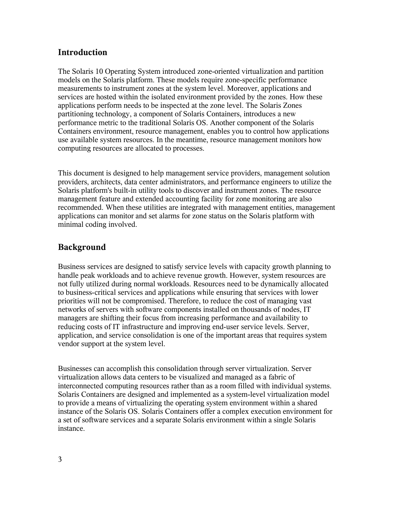## **Introduction**

The Solaris 10 Operating System introduced zone-oriented virtualization and partition models on the Solaris platform. These models require zone-specific performance measurements to instrument zones at the system level. Moreover, applications and services are hosted within the isolated environment provided by the zones. How these applications perform needs to be inspected at the zone level. The Solaris Zones partitioning technology, a component of Solaris Containers, introduces a new performance metric to the traditional Solaris OS. Another component of the Solaris Containers environment, resource management, enables you to control how applications use available system resources. In the meantime, resource management monitors how computing resources are allocated to processes.

This document is designed to help management service providers, management solution providers, architects, data center administrators, and performance engineers to utilize the Solaris platform's built-in utility tools to discover and instrument zones. The resource management feature and extended accounting facility for zone monitoring are also recommended. When these utilities are integrated with management entities, management applications can monitor and set alarms for zone status on the Solaris platform with minimal coding involved.

## **Background**

Business services are designed to satisfy service levels with capacity growth planning to handle peak workloads and to achieve revenue growth. However, system resources are not fully utilized during normal workloads. Resources need to be dynamically allocated to business-critical services and applications while ensuring that services with lower priorities will not be compromised. Therefore, to reduce the cost of managing vast networks of servers with software components installed on thousands of nodes, IT managers are shifting their focus from increasing performance and availability to reducing costs of IT infrastructure and improving end-user service levels. Server, application, and service consolidation is one of the important areas that requires system vendor support at the system level.

Businesses can accomplish this consolidation through server virtualization. Server virtualization allows data centers to be visualized and managed as a fabric of interconnected computing resources rather than as a room filled with individual systems. Solaris Containers are designed and implemented as a system-level virtualization model to provide a means of virtualizing the operating system environment within a shared instance of the Solaris OS. Solaris Containers offer a complex execution environment for a set of software services and a separate Solaris environment within a single Solaris instance.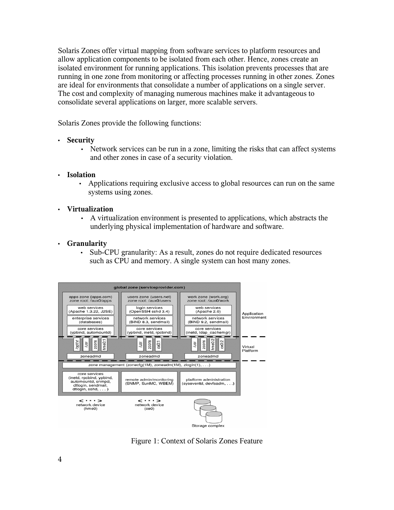Solaris Zones offer virtual mapping from software services to platform resources and allow application components to be isolated from each other. Hence, zones create an isolated environment for running applications. This isolation prevents processes that are running in one zone from monitoring or affecting processes running in other zones. Zones are ideal for environments that consolidate a number of applications on a single server. The cost and complexity of managing numerous machines make it advantageous to consolidate several applications on larger, more scalable servers.

Solaris Zones provide the following functions:

- **Security**
	- Network services can be run in a zone, limiting the risks that can affect systems and other zones in case of a security violation.
- **Isolation**
	- Applications requiring exclusive access to global resources can run on the same systems using zones.
- **Virtualization**
	- A virtualization environment is presented to applications, which abstracts the underlying physical implementation of hardware and software.
- **Granularity**
	- Sub-CPU granularity: As a result, zones do not require dedicated resources such as CPU and memory. A single system can host many zones.



Figure 1: Context of Solaris Zones Feature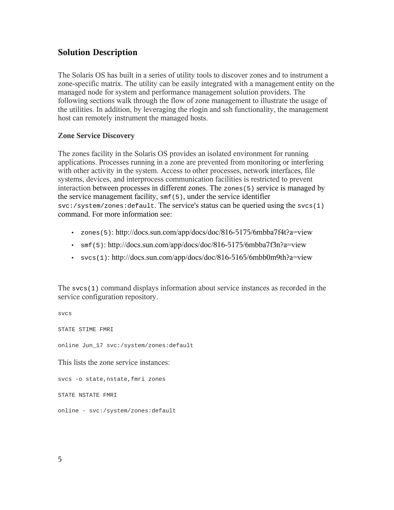## **Solution Description**

The Solaris OS has built in a series of utility tools to discover zones and to instrument a zone-specific matrix. The utility can be easily integrated with a management entity on the managed node for system and performance management solution providers. The following sections walk through the flow of zone management to illustrate the usage of the utilities. In addition, by leveraging the rlogin and ssh functionality, the management host can remotely instrument the managed hosts.

#### **Zone Service Discovery**

The zones facility in the Solaris OS provides an isolated environment for running applications. Processes running in a zone are prevented from monitoring or interfering with other activity in the system. Access to other processes, network interfaces, file systems, devices, and interprocess communication facilities is restricted to prevent interaction between processes in different zones. The zones(5) service is managed by the service management facility,  $smf(5)$ , under the service identifier svc:/system/zones:default. The service's status can be queried using the svcs(1) command. For more information see:

- zones(5): http://docs.sun.com/app/docs/doc/816-5175/6mbba7f4t?a=view
- $\sin f(5)$ : http://docs.sun.com/app/docs/doc/816-5175/6mbba7f3n?a=view
- svcs(1): http://docs.sun.com/app/docs/doc/816-5165/6mbb0m9th?a=view

The svcs(1) command displays information about service instances as recorded in the service configuration repository.

```
svcs
STATE STIME FMRI
online Jun_17 svc:/system/zones:default 
This lists the zone service instances:
svcs -o state,nstate,fmri zones
STATE NSTATE FMRI
```
online - svc:/system/zones:default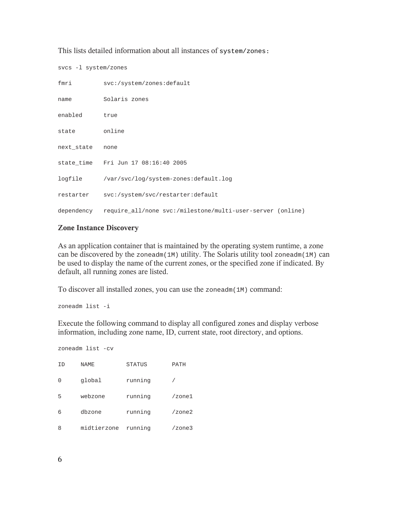This lists detailed information about all instances of system/zones:

| $svcs - l$ system/zones |                                                                       |
|-------------------------|-----------------------------------------------------------------------|
| fmri                    | svc:/system/zones:default                                             |
| name                    | Solaris zones                                                         |
| enabled                 | true                                                                  |
| state                   | online                                                                |
| next_state              | none                                                                  |
|                         | state_time Fri Jun 17 08:16:40 2005                                   |
| logfile                 | /var/svc/log/system-zones:default.log                                 |
|                         | restarter svc:/system/svc/restarter:default                           |
|                         | dependency require_all/none svc:/milestone/multi-user-server (online) |

#### **Zone Instance Discovery**

As an application container that is maintained by the operating system runtime, a zone can be discovered by the zoneadm(1M) utility. The Solaris utility tool zoneadm(1M) can be used to display the name of the current zones, or the specified zone if indicated. By default, all running zones are listed.

To discover all installed zones, you can use the zoneadm(1M) command:

zoneadm list -i

Execute the following command to display all configured zones and display verbose information, including zone name, ID, current state, root directory, and options.

zoneadm list -cv

| ID       | <b>NAME</b> | <b>STATUS</b> | PATH         |
|----------|-------------|---------------|--------------|
| $\Omega$ | global      | running       |              |
| 5        | webzone     | running       | $/$ zonel    |
| 6        | dbzone      | running       | $/$ zone $2$ |
| 8        | midtierzone | running       | /zone3       |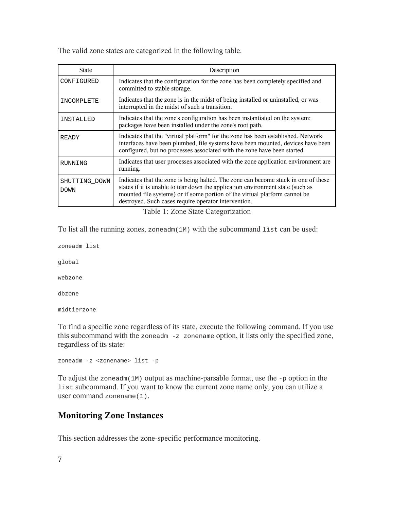The valid zone states are categorized in the following table.

| <b>State</b>                 | Description                                                                                                                                                                                                                                                                                                |
|------------------------------|------------------------------------------------------------------------------------------------------------------------------------------------------------------------------------------------------------------------------------------------------------------------------------------------------------|
| CONFIGURED                   | Indicates that the configuration for the zone has been completely specified and<br>committed to stable storage.                                                                                                                                                                                            |
| INCOMPLETE                   | Indicates that the zone is in the midst of being installed or uninstalled, or was<br>interrupted in the midst of such a transition.                                                                                                                                                                        |
| INSTALLED                    | Indicates that the zone's configuration has been instantiated on the system:<br>packages have been installed under the zone's root path.                                                                                                                                                                   |
| READY                        | Indicates that the "virtual platform" for the zone has been established. Network<br>interfaces have been plumbed, file systems have been mounted, devices have been<br>configured, but no processes associated with the zone have been started.                                                            |
| RUNNING                      | Indicates that user processes associated with the zone application environment are<br>running.                                                                                                                                                                                                             |
| SHUTTING DOWN<br><b>DOWN</b> | Indicates that the zone is being halted. The zone can become stuck in one of these<br>states if it is unable to tear down the application environment state (such as<br>mounted file systems) or if some portion of the virtual platform cannot be<br>destroyed. Such cases require operator intervention. |

Table 1: Zone State Categorization

To list all the running zones, zoneadm(1M) with the subcommand list can be used:

zoneadm list global webzone

dbzone

midtierzone

To find a specific zone regardless of its state, execute the following command. If you use this subcommand with the zoneadm -z zonename option, it lists only the specified zone, regardless of its state:

zoneadm -z <zonename> list -p

To adjust the zoneadm(1M) output as machine-parsable format, use the  $-p$  option in the list subcommand. If you want to know the current zone name only, you can utilize a user command zonename(1).

## **Monitoring Zone Instances**

This section addresses the zone-specific performance monitoring.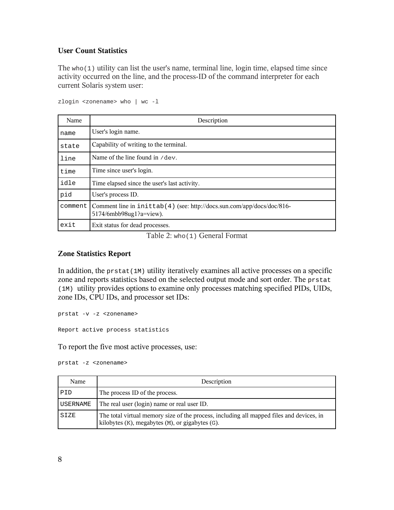#### **User Count Statistics**

The  $who(1)$  utility can list the user's name, terminal line, login time, elapsed time since activity occurred on the line, and the process-ID of the command interpreter for each current Solaris system user:

```
Name Description
name User's login name.
state Capability of writing to the terminal.
line Name of the line found in /dev.
time Time since user's login.
idle Time elapsed since the user's last activity.
pid User's process ID.
comment Comment line in inittab(4) (see: http://docs.sun.com/app/docs/doc/816-
         5174/6mbb98ug1?a=view).
exit Exit status for dead processes.
```
zlogin <zonename> who | wc -l

Table 2: who(1) General Format

#### **Zone Statistics Report**

In addition, the pr $stat(1M)$  utility iteratively examines all active processes on a specific zone and reports statistics based on the selected output mode and sort order. The prstat (1M) utility provides options to examine only processes matching specified PIDs, UIDs, zone IDs, CPU IDs, and processor set IDs:

prstat -v -z <zonename>

Report active process statistics

To report the five most active processes, use:

prstat -z <zonename>

| Name     | Description                                                                                                                                 |
|----------|---------------------------------------------------------------------------------------------------------------------------------------------|
| PID      | The process ID of the process.                                                                                                              |
| USERNAME | The real user (login) name or real user ID.                                                                                                 |
| SIZE     | The total virtual memory size of the process, including all mapped files and devices, in<br>kilobytes (K), megabytes (M), or gigabytes (G). |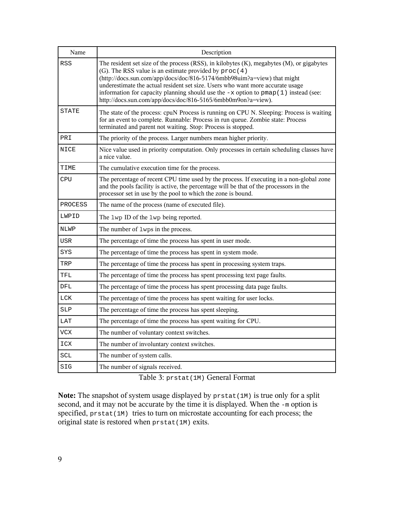| Name    | Description                                                                                                                                                                                                                                                                                                                                                                                                                                                                |
|---------|----------------------------------------------------------------------------------------------------------------------------------------------------------------------------------------------------------------------------------------------------------------------------------------------------------------------------------------------------------------------------------------------------------------------------------------------------------------------------|
| RSS     | The resident set size of the process (RSS), in kilobytes (K), megabytes (M), or gigabytes<br>(G). The RSS value is an estimate provided by proc(4)<br>(http://docs.sun.com/app/docs/doc/816-5174/6mbb98uim?a=view) that might<br>underestimate the actual resident set size. Users who want more accurate usage<br>information for capacity planning should use the $-x$ option to $pmap(1)$ instead (see:<br>http://docs.sun.com/app/docs/doc/816-5165/6mbb0m9on?a=view). |
| STATE   | The state of the process: cpuN Process is running on CPU N. Sleeping: Process is waiting<br>for an event to complete. Runnable: Process in run queue. Zombie state: Process<br>terminated and parent not waiting. Stop: Process is stopped.                                                                                                                                                                                                                                |
| PRI     | The priority of the process. Larger numbers mean higher priority.                                                                                                                                                                                                                                                                                                                                                                                                          |
| NICE    | Nice value used in priority computation. Only processes in certain scheduling classes have<br>a nice value.                                                                                                                                                                                                                                                                                                                                                                |
| TIME    | The cumulative execution time for the process.                                                                                                                                                                                                                                                                                                                                                                                                                             |
| CPU     | The percentage of recent CPU time used by the process. If executing in a non-global zone<br>and the pools facility is active, the percentage will be that of the processors in the<br>processor set in use by the pool to which the zone is bound.                                                                                                                                                                                                                         |
| PROCESS | The name of the process (name of executed file).                                                                                                                                                                                                                                                                                                                                                                                                                           |
| LWPID   | The lwp ID of the lwp being reported.                                                                                                                                                                                                                                                                                                                                                                                                                                      |
| NLWP    | The number of lwps in the process.                                                                                                                                                                                                                                                                                                                                                                                                                                         |
| USR     | The percentage of time the process has spent in user mode.                                                                                                                                                                                                                                                                                                                                                                                                                 |
| SYS     | The percentage of time the process has spent in system mode.                                                                                                                                                                                                                                                                                                                                                                                                               |
| TRP     | The percentage of time the process has spent in processing system traps.                                                                                                                                                                                                                                                                                                                                                                                                   |
| TFL     | The percentage of time the process has spent processing text page faults.                                                                                                                                                                                                                                                                                                                                                                                                  |
| DFL     | The percentage of time the process has spent processing data page faults.                                                                                                                                                                                                                                                                                                                                                                                                  |
| LCK     | The percentage of time the process has spent waiting for user locks.                                                                                                                                                                                                                                                                                                                                                                                                       |
| SLP     | The percentage of time the process has spent sleeping.                                                                                                                                                                                                                                                                                                                                                                                                                     |
| LAT     | The percentage of time the process has spent waiting for CPU.                                                                                                                                                                                                                                                                                                                                                                                                              |
| VCX     | The number of voluntary context switches.                                                                                                                                                                                                                                                                                                                                                                                                                                  |
| ICX     | The number of involuntary context switches.                                                                                                                                                                                                                                                                                                                                                                                                                                |
| SCL     | The number of system calls.                                                                                                                                                                                                                                                                                                                                                                                                                                                |
| SIG     | The number of signals received.                                                                                                                                                                                                                                                                                                                                                                                                                                            |

Table 3: prstat(1M) General Format

Note: The snapshot of system usage displayed by  $\text{prstat}(1M)$  is true only for a split second, and it may not be accurate by the time it is displayed. When the -m option is specified,  $prstat(1M)$  tries to turn on microstate accounting for each process; the original state is restored when prstat(1M) exits.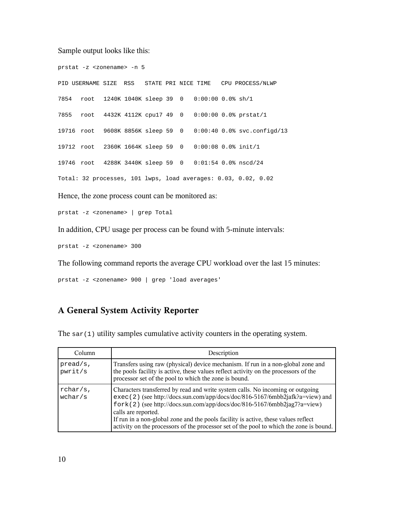#### Sample output looks like this:

```
prstat -z <zonename> -n 5
PID USERNAME SIZE RSS STATE PRI NICE TIME CPU PROCESS/NLWP
7854 root 1240K 1040K sleep 39 0 0:00:00 0.0% sh/1
7855 root 4432K 4112K cpu17 49 0 0:00:00 0.0% prstat/1
19716 root 9608K 8856K sleep 59 0 0:00:40 0.0% svc.configd/13
19712 root 2360K 1664K sleep 59 0 0:00:08 0.0% init/1
19746 root 4288K 3440K sleep 59 0 0:01:54 0.0% nscd/24
Total: 32 processes, 101 lwps, load averages: 0.03, 0.02, 0.02
Hence, the zone process count can be monitored as:
```
prstat -z <zonename> | grep Total

In addition, CPU usage per process can be found with 5-minute intervals:

prstat -z <zonename> 300

The following command reports the average CPU workload over the last 15 minutes:

prstat -z <zonename> 900 | grep 'load averages'

## **A General System Activity Reporter**

| Column                       | Description                                                                                                                                                                                                                                                                                                                                                                                                                                          |
|------------------------------|------------------------------------------------------------------------------------------------------------------------------------------------------------------------------------------------------------------------------------------------------------------------------------------------------------------------------------------------------------------------------------------------------------------------------------------------------|
| $\text{pred/s}$ ,<br>pwrit/s | Transfers using raw (physical) device mechanism. If run in a non-global zone and<br>the pools facility is active, these values reflect activity on the processors of the<br>processor set of the pool to which the zone is bound.                                                                                                                                                                                                                    |
| $rchar/s$ ,<br>wchar/s       | Characters transferred by read and write system calls. No incoming or outgoing<br>$exec(2)$ (see http://docs.sun.com/app/docs/doc/816-5167/6mbb2jafk?a=view) and<br>fork(2) (see http://docs.sun.com/app/docs/doc/816-5167/6mbb2jag7?a=view)<br>calls are reported.<br>If run in a non-global zone and the pools facility is active, these values reflect<br>activity on the processors of the processor set of the pool to which the zone is bound. |

The  $\text{sar}(1)$  utility samples cumulative activity counters in the operating system.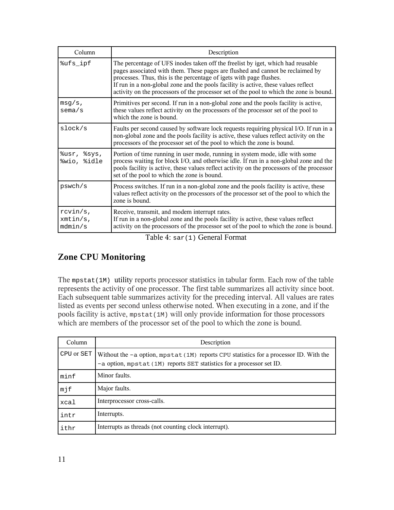| Column                                | Description                                                                                                                                                                                                                                                                                                                                                                                                               |
|---------------------------------------|---------------------------------------------------------------------------------------------------------------------------------------------------------------------------------------------------------------------------------------------------------------------------------------------------------------------------------------------------------------------------------------------------------------------------|
| %ufs_ipf                              | The percentage of UFS inodes taken off the freelist by iget, which had reusable<br>pages associated with them. These pages are flushed and cannot be reclaimed by<br>processes. Thus, this is the percentage of igets with page flushes.<br>If run in a non-global zone and the pools facility is active, these values reflect<br>activity on the processors of the processor set of the pool to which the zone is bound. |
| $msg/s$ ,<br>sema/s                   | Primitives per second. If run in a non-global zone and the pools facility is active,<br>these values reflect activity on the processors of the processor set of the pool to<br>which the zone is bound.                                                                                                                                                                                                                   |
| slock/s                               | Faults per second caused by software lock requests requiring physical I/O. If run in a<br>non-global zone and the pools facility is active, these values reflect activity on the<br>processors of the processor set of the pool to which the zone is bound.                                                                                                                                                               |
| %usr, %sys,<br>%wio, %idle            | Portion of time running in user mode, running in system mode, idle with some<br>process waiting for block I/O, and otherwise idle. If run in a non-global zone and the<br>pools facility is active, these values reflect activity on the processors of the processor<br>set of the pool to which the zone is bound.                                                                                                       |
| pswch/s                               | Process switches. If run in a non-global zone and the pools facility is active, these<br>values reflect activity on the processors of the processor set of the pool to which the<br>zone is bound.                                                                                                                                                                                                                        |
| $rcvin/s$ ,<br>$x$ mtin/s,<br>mdmin/s | Receive, transmit, and modem interrupt rates.<br>If run in a non-global zone and the pools facility is active, these values reflect<br>activity on the processors of the processor set of the pool to which the zone is bound.                                                                                                                                                                                            |

Table 4: sar(1) General Format

# **Zone CPU Monitoring**

The mpstat(1M) utility reports processor statistics in tabular form. Each row of the table represents the activity of one processor. The first table summarizes all activity since boot. Each subsequent table summarizes activity for the preceding interval. All values are rates listed as events per second unless otherwise noted. When executing in a zone, and if the pools facility is active, mpstat(1M) will only provide information for those processors which are members of the processor set of the pool to which the zone is bound.

| Column     | Description                                                                                                                                                         |
|------------|---------------------------------------------------------------------------------------------------------------------------------------------------------------------|
| CPU or SET | Without the $-a$ option, mpstat $(1M)$ reports CPU statistics for a processor ID. With the<br>-a option, mpstat (1M) reports SET statistics for a processor set ID. |
| minf       | Minor faults.                                                                                                                                                       |
| mjf        | Major faults.                                                                                                                                                       |
| xcal       | Interprocessor cross-calls.                                                                                                                                         |
| intr       | Interrupts.                                                                                                                                                         |
| ithr       | Interrupts as threads (not counting clock interrupt).                                                                                                               |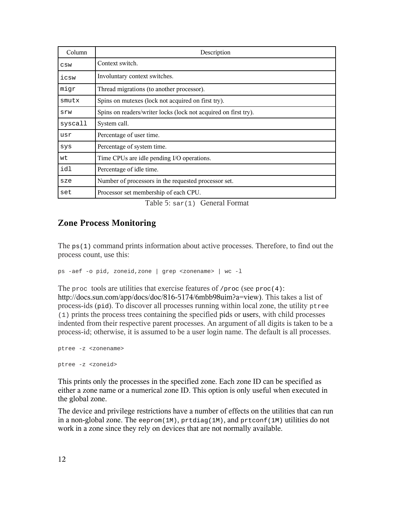| Column  | Description                                                     |
|---------|-----------------------------------------------------------------|
| CSW     | Context switch.                                                 |
| icsw    | Involuntary context switches.                                   |
| migr    | Thread migrations (to another processor).                       |
| smutx   | Spins on mutexes (lock not acquired on first try).              |
| SYW     | Spins on readers/writer locks (lock not acquired on first try). |
| syscall | System call.                                                    |
| usr     | Percentage of user time.                                        |
| sys     | Percentage of system time.                                      |
| wt      | Time CPUs are idle pending I/O operations.                      |
| idl     | Percentage of idle time.                                        |
| sze     | Number of processors in the requested processor set.            |
| set     | Processor set membership of each CPU.                           |

Table 5: sar(1) General Format

# **Zone Process Monitoring**

The  $ps(1)$  command prints information about active processes. Therefore, to find out the process count, use this:

ps -aef -o pid, zoneid,zone | grep <zonename> | wc -l

The proc tools are utilities that exercise features of  $/$ proc (see proc(4): http://docs.sun.com/app/docs/doc/816-5174/6mbb98uim?a=view). This takes a list of process-ids (pid). To discover all processes running within local zone, the utility ptree (1) prints the process trees containing the specified pids or users, with child processes indented from their respective parent processes. An argument of all digits is taken to be a process-id; otherwise, it is assumed to be a user login name. The default is all processes.

ptree -z <zonename> ptree -z <zoneid>

This prints only the processes in the specified zone. Each zone ID can be specified as either a zone name or a numerical zone ID. This option is only useful when executed in the global zone.

The device and privilege restrictions have a number of effects on the utilities that can run in a non-global zone. The eeprom(1M), prtdiag(1M), and prtconf(1M) utilities do not work in a zone since they rely on devices that are not normally available.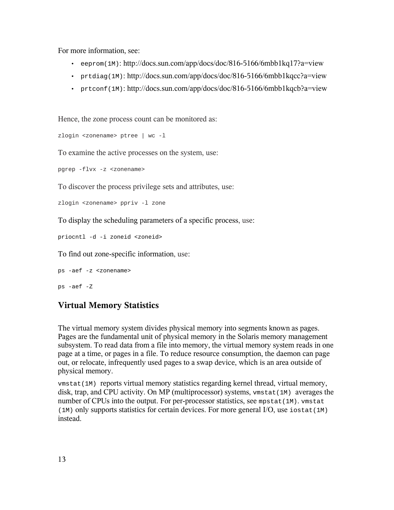For more information, see:

- eeprom(1M): http://docs.sun.com/app/docs/doc/816-5166/6mbb1kq17?a=view
- prtdiag(1M): http://docs.sun.com/app/docs/doc/816-5166/6mbb1kqcc?a=view
- prtconf(1M): http://docs.sun.com/app/docs/doc/816-5166/6mbb1kqcb?a=view

Hence, the zone process count can be monitored as:

```
zlogin <zonename> ptree | wc -l
```
To examine the active processes on the system, use:

pgrep -flvx -z <zonename>

To discover the process privilege sets and attributes, use:

zlogin <zonename> ppriv -l zone

To display the scheduling parameters of a specific process, use:

priocntl -d -i zoneid <zoneid>

To find out zone-specific information, use:

```
ps -aef -z <zonename>
ps -aef -Z
```
# **Virtual Memory Statistics**

The virtual memory system divides physical memory into segments known as pages. Pages are the fundamental unit of physical memory in the Solaris memory management subsystem. To read data from a file into memory, the virtual memory system reads in one page at a time, or pages in a file. To reduce resource consumption, the daemon can page out, or relocate, infrequently used pages to a swap device, which is an area outside of physical memory.

vmstat(1M) reports virtual memory statistics regarding kernel thread, virtual memory, disk, trap, and CPU activity. On MP (multiprocessor) systems, vmstat(1M) averages the number of CPUs into the output. For per-processor statistics, see mpstat(1M). vmstat  $(1M)$  only supports statistics for certain devices. For more general I/O, use iostat $(1M)$ instead.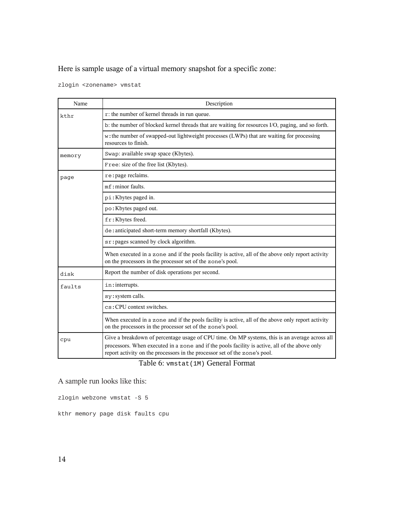## Here is sample usage of a virtual memory snapshot for a specific zone:

zlogin <zonename> vmstat

| Name   | Description                                                                                                                                                                                                                                                                    |
|--------|--------------------------------------------------------------------------------------------------------------------------------------------------------------------------------------------------------------------------------------------------------------------------------|
| kthr   | r: the number of kernel threads in run queue.                                                                                                                                                                                                                                  |
|        | b: the number of blocked kernel threads that are waiting for resources I/O, paging, and so forth.                                                                                                                                                                              |
|        | w: the number of swapped-out lightweight processes (LWPs) that are waiting for processing<br>resources to finish.                                                                                                                                                              |
| memory | Swap: available swap space (Kbytes).                                                                                                                                                                                                                                           |
|        | Free: size of the free list (Kbytes).                                                                                                                                                                                                                                          |
| page   | re: page reclaims.                                                                                                                                                                                                                                                             |
|        | mf: minor faults.                                                                                                                                                                                                                                                              |
|        | pi: Kbytes paged in.                                                                                                                                                                                                                                                           |
|        | po: Kbytes paged out.                                                                                                                                                                                                                                                          |
|        | fr:Kbytes freed.                                                                                                                                                                                                                                                               |
|        | de: anticipated short-term memory shortfall (Kbytes).                                                                                                                                                                                                                          |
|        | sr: pages scanned by clock algorithm.                                                                                                                                                                                                                                          |
|        | When executed in a zone and if the pools facility is active, all of the above only report activity<br>on the processors in the processor set of the zone's pool.                                                                                                               |
| disk   | Report the number of disk operations per second.                                                                                                                                                                                                                               |
| faults | $in:$ interrupts.                                                                                                                                                                                                                                                              |
|        | sy: system calls.                                                                                                                                                                                                                                                              |
|        | cs: CPU context switches.                                                                                                                                                                                                                                                      |
|        | When executed in a zone and if the pools facility is active, all of the above only report activity<br>on the processors in the processor set of the zone's pool.                                                                                                               |
| cpu    | Give a breakdown of percentage usage of CPU time. On MP systems, this is an average across all<br>processors. When executed in a zone and if the pools facility is active, all of the above only<br>report activity on the processors in the processor set of the zone's pool. |

Table 6: vmstat(1M) General Format

A sample run looks like this:

zlogin webzone vmstat -S 5

kthr memory page disk faults cpu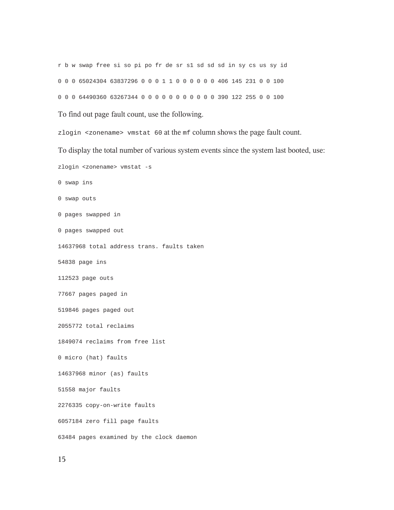r b w swap free si so pi po fr de sr s1 sd sd sd in sy cs us sy id 0 0 0 65024304 63837296 0 0 0 1 1 0 0 0 0 0 0 406 145 231 0 0 100 0 0 0 64490360 63267344 0 0 0 0 0 0 0 0 0 0 0 390 122 255 0 0 100

To find out page fault count, use the following.

zlogin <zonename> vmstat 60 at the mf column shows the page fault count.

To display the total number of various system events since the system last booted, use:

zlogin <zonename> vmstat -s 0 swap ins 0 swap outs 0 pages swapped in 0 pages swapped out 14637968 total address trans. faults taken 54838 page ins 112523 page outs 77667 pages paged in 519846 pages paged out 2055772 total reclaims 1849074 reclaims from free list 0 micro (hat) faults 14637968 minor (as) faults 51558 major faults 2276335 copy-on-write faults 6057184 zero fill page faults 63484 pages examined by the clock daemon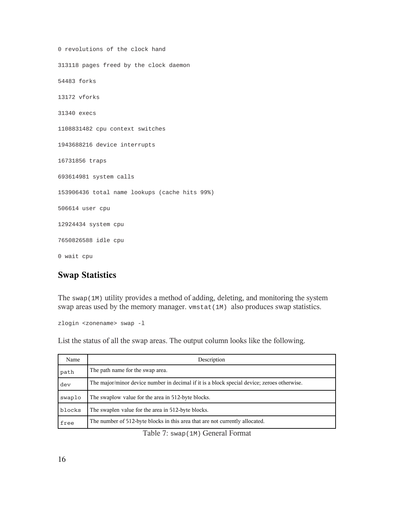0 revolutions of the clock hand 313118 pages freed by the clock daemon 54483 forks 13172 vforks 31340 execs 1108831482 cpu context switches 1943688216 device interrupts 16731856 traps 693614981 system calls 153906436 total name lookups (cache hits 99%) 506614 user cpu 12924434 system cpu 7650826588 idle cpu 0 wait cpu

# **Swap Statistics**

The swap(1M) utility provides a method of adding, deleting, and monitoring the system swap areas used by the memory manager. vmstat(1M) also produces swap statistics.

zlogin <zonename> swap -l

List the status of all the swap areas. The output column looks like the following.

| Name   | Description                                                                                 |
|--------|---------------------------------------------------------------------------------------------|
| path   | The path name for the swap area.                                                            |
| dev    | The major/minor device number in decimal if it is a block special device; zeroes otherwise. |
| swaplo | The swaplow value for the area in 512-byte blocks.                                          |
| blocks | The swaplen value for the area in 512-byte blocks.                                          |
| free   | The number of 512-byte blocks in this area that are not currently allocated.                |

Table 7: swap(1M) General Format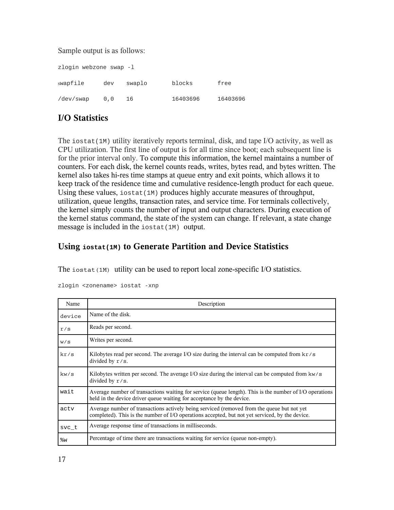Sample output is as follows:

zlogin webzone swap -l swapfile dev swaplo blocks free /dev/swap 0,0 16 16403696 16403696

# **I/O Statistics**

The iostat(1M) utility iteratively reports terminal, disk, and tape I/O activity, as well as CPU utilization. The first line of output is for all time since boot; each subsequent line is for the prior interval only. To compute this information, the kernel maintains a number of counters. For each disk, the kernel counts reads, writes, bytes read, and bytes written. The kernel also takes hi-res time stamps at queue entry and exit points, which allows it to keep track of the residence time and cumulative residence-length product for each queue. Using these values,  $i$  ostat(1M) produces highly accurate measures of throughput, utilization, queue lengths, transaction rates, and service time. For terminals collectively, the kernel simply counts the number of input and output characters. During execution of the kernel status command, the state of the system can change. If relevant, a state change message is included in the iostat(1M) output.

## **Using iostat(1M) to Generate Partition and Device Statistics**

The iostat(1M) utility can be used to report local zone-specific I/O statistics.

| Name   | Description                                                                                                                                                                                   |
|--------|-----------------------------------------------------------------------------------------------------------------------------------------------------------------------------------------------|
| device | Name of the disk.                                                                                                                                                                             |
| r/s    | Reads per second.                                                                                                                                                                             |
| w/s    | Writes per second.                                                                                                                                                                            |
| kr/s   | Kilobytes read per second. The average I/O size during the interval can be computed from $k\tau/s$<br>divided by $r/s$ .                                                                      |
| kw/s   | Kilobytes written per second. The average I/O size during the interval can be computed from $kw/s$<br>divided by $r/s$ .                                                                      |
| wait   | Average number of transactions waiting for service (queue length). This is the number of I/O operations<br>held in the device driver queue waiting for acceptance by the device.              |
| actv   | Average number of transactions actively being serviced (removed from the queue but not yet<br>completed). This is the number of I/O operations accepted, but not yet serviced, by the device. |
| svc_t  | Average response time of transactions in milliseconds.                                                                                                                                        |
| %ស     | Percentage of time there are transactions waiting for service (queue non-empty).                                                                                                              |

zlogin <zonename> iostat -xnp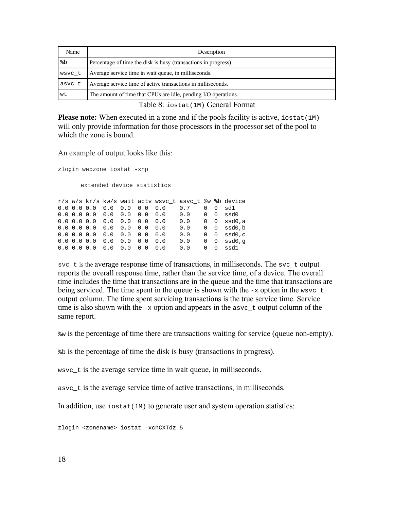| Name   | Description                                                     |  |  |  |
|--------|-----------------------------------------------------------------|--|--|--|
| %b     | Percentage of time the disk is busy (transactions in progress). |  |  |  |
| wsvc t | Average service time in wait queue, in milliseconds.            |  |  |  |
| asvc t | Average service time of active transactions in milliseconds.    |  |  |  |
| wt     | The amount of time that CPUs are idle, pending I/O operations.  |  |  |  |

Table 8: iostat(1M) General Format

**Please note:** When executed in a zone and if the pools facility is active, iostat(1M) will only provide information for those processors in the processor set of the pool to which the zone is bound.

An example of output looks like this:

zlogin webzone iostat -xnp

extended device statistics

|  |  |                                                 | r/s w/s kr/s kw/s wait actv wsvc t asvc t %w %b device |                           |  |         |
|--|--|-------------------------------------------------|--------------------------------------------------------|---------------------------|--|---------|
|  |  |                                                 | $0.0 \t0.0 \t0.0 \t0.0 \t0.0 \t0.0 \t0.0 \t0.7$        |                           |  | 0 0 sdl |
|  |  |                                                 |                                                        |                           |  |         |
|  |  | $0.0$ $0.0$ $0.0$ $0.0$ $0.0$ $0.0$ $0.0$ $0.0$ |                                                        | 0.0 0 0 ssd0.a            |  |         |
|  |  | $0.0$ 0.0 0.0 0.0 0.0 0.0 0.0                   |                                                        | 0.0 0 0 ssd0.b            |  |         |
|  |  | $0.0$ $0.0$ $0.0$ $0.0$ $0.0$ $0.0$ $0.0$ $0.0$ |                                                        | $0.0$ 0 0 ssd0.c          |  |         |
|  |  | $0.0$ 0.0 0.0 0.0 0.0 0.0 0.0                   |                                                        | $0.0$ $0.0$ $0.5$ d $0.0$ |  |         |
|  |  | $0.0$ $0.0$ $0.0$ $0.0$ $0.0$ $0.0$ $0.0$ $0.0$ |                                                        |                           |  |         |

svc\_t is the average response time of transactions, in milliseconds. The svc\_t output reports the overall response time, rather than the service time, of a device. The overall time includes the time that transactions are in the queue and the time that transactions are being serviced. The time spent in the queue is shown with the  $-x$  option in the wsvc\_t output column. The time spent servicing transactions is the true service time. Service time is also shown with the  $-x$  option and appears in the  $a$ svc\_t output column of the same report.

%w is the percentage of time there are transactions waiting for service (queue non-empty).

%b is the percentage of time the disk is busy (transactions in progress).

wsvc\_t is the average service time in wait queue, in milliseconds.

asvc\_t is the average service time of active transactions, in milliseconds.

In addition, use  $i$  ostat(1M) to generate user and system operation statistics:

zlogin <zonename> iostat -xcnCXTdz 5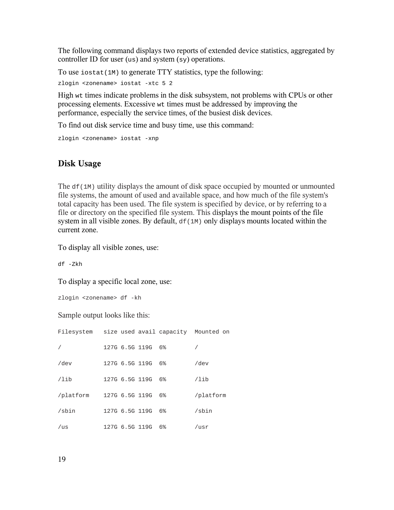The following command displays two reports of extended device statistics, aggregated by controller ID for user  $(us)$  and system  $(s_y)$  operations.

To use iostat(1M) to generate TTY statistics, type the following:

zlogin <zonename> iostat -xtc 5 2

High wt times indicate problems in the disk subsystem, not problems with CPUs or other processing elements. Excessive wt times must be addressed by improving the performance, especially the service times, of the busiest disk devices.

To find out disk service time and busy time, use this command:

zlogin <zonename> iostat -xnp

#### **Disk Usage**

The  $df(1M)$  utility displays the amount of disk space occupied by mounted or unmounted file systems, the amount of used and available space, and how much of the file system's total capacity has been used. The file system is specified by device, or by referring to a file or directory on the specified file system. This displays the mount points of the file system in all visible zones. By default,  $df(1M)$  only displays mounts located within the current zone.

To display all visible zones, use:

 $df -Zkh$ 

To display a specific local zone, use:

zlogin <zonename> df -kh

Sample output looks like this:

| Filesystem size used avail capacity Mounted on |  |                   |                |           |
|------------------------------------------------|--|-------------------|----------------|-----------|
| $\sqrt{2}$                                     |  | 127G 6.5G 119G 6% |                |           |
| /dev                                           |  | 127G 6.5G 119G 6% |                | /dev      |
| /lib                                           |  | 127G 6.5G 119G 6% |                | /lib      |
| /platform                                      |  | 127G 6.5G 119G 6% |                | /platform |
| /sbin                                          |  | 127G 6.5G 119G    | 6 <sup>°</sup> | /sbin     |
| $\log$                                         |  | 127G 6.5G 119G    | $6\%$          | /usr      |

19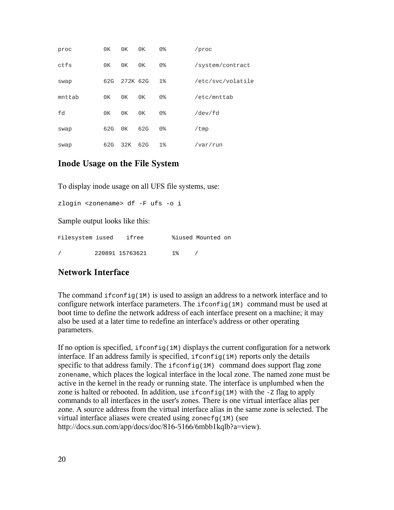| proc   | 0K  | 0K             | 0K  | 0 <sub>8</sub> | /proc             |
|--------|-----|----------------|-----|----------------|-------------------|
| ctfs   | 0K  | 0K             | 0K  | 0 <sub>8</sub> | /system/contract  |
| swap   | 62G | 272K 62G       |     | $1\%$          | /etc/svc/volatile |
| mnttab | 0K  | 0 <sub>K</sub> | 0K  | 0 <sub>8</sub> | /etc/mnttab       |
| fd     | 0K  | 0 <sub>K</sub> | 0K  | 0 <sub>8</sub> | /dev/fd           |
| swap   | 62G | 0 <sub>K</sub> | 62G | 0 <sub>8</sub> | /tmp              |
| swap   | 62G | 32K            | 62G | $1\%$          | /var/run          |

## **Inode Usage on the File System**

To display inode usage on all UFS file systems, use:

zlogin <zonename> df -F ufs -o i

Sample output looks like this:

| Filesystem iused | ifree           |               | %iused Mounted on |  |
|------------------|-----------------|---------------|-------------------|--|
|                  | 220891 15763621 | $1$ $\approx$ |                   |  |

## **Network Interface**

The command  $ifconfig(1M)$  is used to assign an address to a network interface and to configure network interface parameters. The  $ifconfig(1M)$  command must be used at boot time to define the network address of each interface present on a machine; it may also be used at a later time to redefine an interface's address or other operating parameters.

If no option is specified,  $\text{ifconfig(1M)}$  displays the current configuration for a network interface. If an address family is specified,  $\text{ifconfig(1M)}$  reports only the details specific to that address family. The ifconfig(1M) command does support flag zone zonename, which places the logical interface in the local zone. The named zone must be active in the kernel in the ready or running state. The interface is unplumbed when the zone is halted or rebooted. In addition, use  $ifconfig(1M)$  with the  $-z$  flag to apply commands to all interfaces in the user's zones. There is one virtual interface alias per zone. A source address from the virtual interface alias in the same zone is selected. The virtual interface aliases were created using  $z$ onecfg(1M) (see http://docs.sun.com/app/docs/doc/816-5166/6mbb1kqlb?a=view).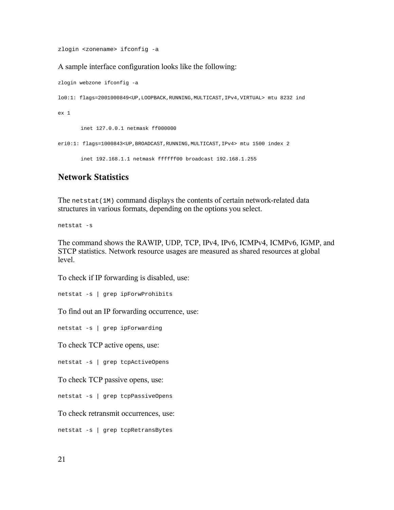zlogin <zonename> ifconfig -a

A sample interface configuration looks like the following:

```
zlogin webzone ifconfig -a
lo0:1: flags=2001000849<UP,LOOPBACK,RUNNING,MULTICAST,IPv4,VIRTUAL> mtu 8232 ind
ex 1
       inet 127.0.0.1 netmask ff000000
eri0:1: flags=1000843<UP,BROADCAST,RUNNING,MULTICAST,IPv4> mtu 1500 index 2
       inet 192.168.1.1 netmask ffffff00 broadcast 192.168.1.255
```
#### **Network Statistics**

The netstat(1M) command displays the contents of certain network-related data structures in various formats, depending on the options you select.

netstat -s

The command shows the RAWIP, UDP, TCP, IPv4, IPv6, ICMPv4, ICMPv6, IGMP, and STCP statistics. Network resource usages are measured as shared resources at global level.

To check if IP forwarding is disabled, use:

netstat -s | grep ipForwProhibits

To find out an IP forwarding occurrence, use:

netstat -s | grep ipForwarding

To check TCP active opens, use:

netstat -s | grep tcpActiveOpens

To check TCP passive opens, use:

netstat -s | grep tcpPassiveOpens

To check retransmit occurrences, use:

netstat -s | grep tcpRetransBytes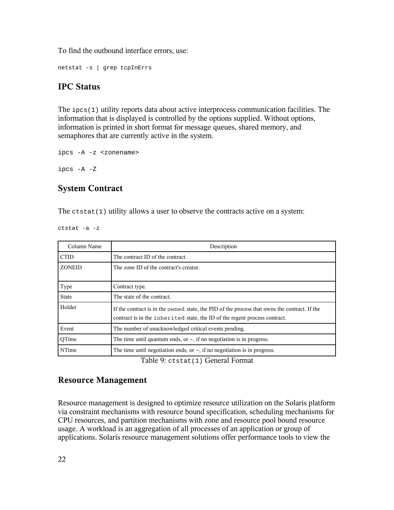To find the outbound interface errors, use:

netstat -s | grep tcpInErrs

## **IPC Status**

The ipcs(1) utility reports data about active interprocess communication facilities. The information that is displayed is controlled by the options supplied. Without options, information is printed in short format for message queues, shared memory, and semaphores that are currently active in the system.

```
ipcs -A -z <zonename>
```
ipcs -A -Z

# **System Contract**

The  $\text{ctstat}(1)$  utility allows a user to observe the contracts active on a system:

ctstat -a -z

| Column Name   | Description                                                                                                                                                                |
|---------------|----------------------------------------------------------------------------------------------------------------------------------------------------------------------------|
| <b>CTID</b>   | The contract ID of the contract.                                                                                                                                           |
| <b>ZONEID</b> | The zone ID of the contract's creator.                                                                                                                                     |
| Type          | Contract type.                                                                                                                                                             |
| <b>State</b>  | The state of the contract.                                                                                                                                                 |
| Holder        | If the contract is in the owned state, the PID of the process that owns the contract. If the<br>contract is in the inherited state, the ID of the regent process contract. |
| Event         | The number of unacknowledged critical events pending.                                                                                                                      |
| OTime         | The time until quantum ends, or $-$ , if no negotiation is in progress.                                                                                                    |
| <b>NTime</b>  | The time until negotiation ends, or $-$ , if no negotiation is in progress.                                                                                                |

Table 9: ctstat(1) General Format

## **Resource Management**

Resource management is designed to optimize resource utilization on the Solaris platform via constraint mechanisms with resource bound specification, scheduling mechanisms for CPU resources, and partition mechanisms with zone and resource pool bound resource usage. A workload is an aggregation of all processes of an application or group of applications. Solaris resource management solutions offer performance tools to view the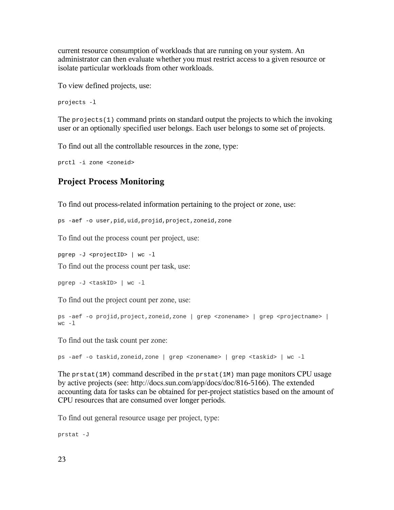current resource consumption of workloads that are running on your system. An administrator can then evaluate whether you must restrict access to a given resource or isolate particular workloads from other workloads.

To view defined projects, use:

projects -l

The projects(1) command prints on standard output the projects to which the invoking user or an optionally specified user belongs. Each user belongs to some set of projects.

To find out all the controllable resources in the zone, type:

```
prctl -i zone <zoneid>
```
### **Project Process Monitoring**

To find out process-related information pertaining to the project or zone, use:

ps -aef -o user,pid,uid,projid,project,zoneid,zone

To find out the process count per project, use:

pgrep -J <projectID> | wc -l

To find out the process count per task, use:

pgrep -J <taskID> | wc -l

To find out the project count per zone, use:

```
ps -aef -o projid,project,zoneid,zone | grep <zonename> | grep <projectname> |
wc - 1
```
To find out the task count per zone:

ps -aef -o taskid,zoneid,zone | grep <zonename> | grep <taskid> | wc -l

The prstat(1M) command described in the prstat(1M) man page monitors CPU usage by active projects (see: http://docs.sun.com/app/docs/doc/816-5166). The extended accounting data for tasks can be obtained for per-project statistics based on the amount of CPU resources that are consumed over longer periods.

To find out general resource usage per project, type:

prstat -J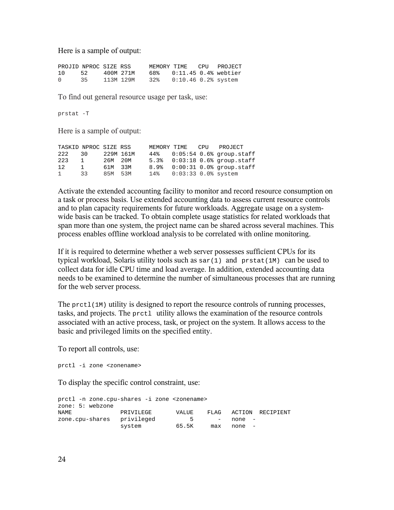Here is a sample of output:

PROJID NPROC SIZE RSS MEMORY TIME CPU PROJECT 10 52 400M 271M 68% 0:11.45 0.4% webtier 0 35 113M 129M 32% 0:10.46 0.2% system

To find out general resource usage per task, use:

prstat -T

Here is a sample of output:

| TASKID NPROC SIZE RSS |                |           |  | MEMORY TIME             | CPU PROJECT                   |
|-----------------------|----------------|-----------|--|-------------------------|-------------------------------|
| 222                   | 30             | 229M 161M |  |                         | 44% 0:05:54 0.6% group.staff  |
| 223                   | $\mathbf{1}$   | 26M 20M   |  |                         | 5.3% 0:03:18 0.6% group.staff |
| 12                    | $\overline{1}$ | 61M 33M   |  |                         | 8.9% 0:00:31 0.0% group.staff |
| $\mathbf{1}$          | 33             | 85M 53M   |  | 14% 0:03:33 0.0% system |                               |

Activate the extended accounting facility to monitor and record resource consumption on a task or process basis. Use extended accounting data to assess current resource controls and to plan capacity requirements for future workloads. Aggregate usage on a systemwide basis can be tracked. To obtain complete usage statistics for related workloads that span more than one system, the project name can be shared across several machines. This process enables offline workload analysis to be correlated with online monitoring.

If it is required to determine whether a web server possesses sufficient CPUs for its typical workload, Solaris utility tools such as  $\text{sar}(1)$  and  $\text{prstat}(1M)$  can be used to collect data for idle CPU time and load average. In addition, extended accounting data needs to be examined to determine the number of simultaneous processes that are running for the web server process.

The  $\text{protl}(1M)$  utility is designed to report the resource controls of running processes, tasks, and projects. The prctl utility allows the examination of the resource controls associated with an active process, task, or project on the system. It allows access to the basic and privileged limits on the specified entity.

To report all controls, use:

prctl -i zone <zonename>

To display the specific control constraint, use:

|                  | prctl -n zone.cpu-shares -i zone <zonename></zonename> |       |            |        |                       |
|------------------|--------------------------------------------------------|-------|------------|--------|-----------------------|
| zone: 5: webzone |                                                        |       |            |        |                       |
| NAME             | PRIVILEGE                                              | VALUE |            |        | FLAG ACTION RECIPIENT |
|                  | zone.cpu-shares privileged                             | 5     | $\sim$ $-$ | none – |                       |
|                  | system                                                 | 65.5K | max        | none - |                       |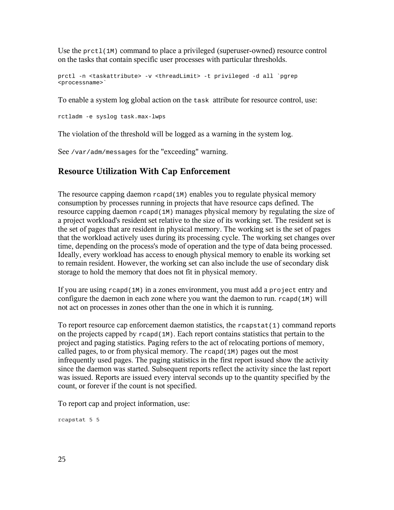Use the  $pret1(1M)$  command to place a privileged (superuser-owned) resource control on the tasks that contain specific user processes with particular thresholds.

```
prctl -n <taskattribute> -v <threadLimit> -t privileged -d all `pgrep
<processname>`
```
To enable a system log global action on the task attribute for resource control, use:

rctladm -e syslog task.max-lwps

The violation of the threshold will be logged as a warning in the system log.

See /var/adm/messages for the "exceeding" warning.

## **Resource Utilization With Cap Enforcement**

The resource capping daemon  $r \text{capd}(1M)$  enables you to regulate physical memory consumption by processes running in projects that have resource caps defined. The resource capping daemon rcapd(1M) manages physical memory by regulating the size of a project workload's resident set relative to the size of its working set. The resident set is the set of pages that are resident in physical memory. The working set is the set of pages that the workload actively uses during its processing cycle. The working set changes over time, depending on the process's mode of operation and the type of data being processed. Ideally, every workload has access to enough physical memory to enable its working set to remain resident. However, the working set can also include the use of secondary disk storage to hold the memory that does not fit in physical memory.

If you are using rcapd(1M) in a zones environment, you must add a project entry and configure the daemon in each zone where you want the daemon to run. rcapd(1M) will not act on processes in zones other than the one in which it is running.

To report resource cap enforcement daemon statistics, the rcapstat(1) command reports on the projects capped by rcapd(1M). Each report contains statistics that pertain to the project and paging statistics. Paging refers to the act of relocating portions of memory, called pages, to or from physical memory. The  $r \text{ capd}(1M)$  pages out the most infrequently used pages. The paging statistics in the first report issued show the activity since the daemon was started. Subsequent reports reflect the activity since the last report was issued. Reports are issued every interval seconds up to the quantity specified by the count, or forever if the count is not specified.

To report cap and project information, use:

rcapstat 5 5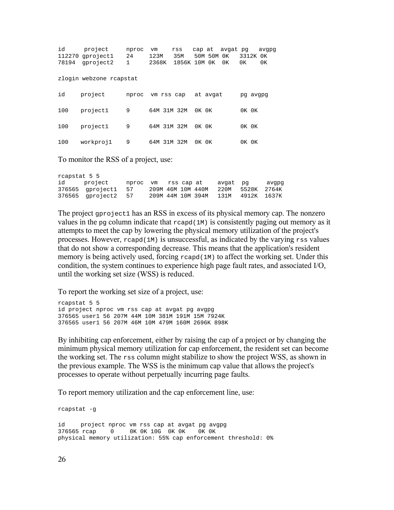| id project              | nproc vm |                       | rss                     |  | cap at avgat pg avgpg |    |
|-------------------------|----------|-----------------------|-------------------------|--|-----------------------|----|
| 112270 aproject1        | 24       | 123M                  | 35M 50M 50M 0K 3312K 0K |  |                       |    |
| 78194 qproject2 1       |          | 2368K 1856K 10M 0K 0K |                         |  | 0K                    | 0K |
|                         |          |                       |                         |  |                       |    |
| zlogin webzone rcapstat |          |                       |                         |  |                       |    |

| id  | project   |     | nproc vm rss cap at avgat |  |       | pq avqpq |
|-----|-----------|-----|---------------------------|--|-------|----------|
| 100 | project1  | 9   | 64M 31M 32M 0K 0K         |  | OK OK |          |
| 100 | projectl  | 9   | 64M 31M 32M 0K 0K         |  | OK OK |          |
| 100 | workproj1 | - 9 | 64M 31M 32M 0K 0K         |  |       | OK OK    |

To monitor the RSS of a project, use:

rcapstat 5 5 nproc vm rss cap at avgat pg avgpg 376565 gproject1 57 209M 46M 10M 440M 220M 5528K 2764K 376565 gproject2 57 209M 44M 10M 394M 131M 4912K 1637K

The project  $q_{\text{project}}$  has an RSS in excess of its physical memory cap. The nonzero values in the pg column indicate that  $r \text{ capd}(1M)$  is consistently paging out memory as it attempts to meet the cap by lowering the physical memory utilization of the project's processes. However,  $r \text{ capd}(1M)$  is unsuccessful, as indicated by the varying rss values that do not show a corresponding decrease. This means that the application's resident memory is being actively used, forcing reapd(1M) to affect the working set. Under this condition, the system continues to experience high page fault rates, and associated I/O, until the working set size (WSS) is reduced.

To report the working set size of a project, use:

rcapstat 5 5 id project nproc vm rss cap at avgat pg avgpg 376565 user1 56 207M 44M 10M 381M 191M 15M 7924K 376565 user1 56 207M 46M 10M 479M 160M 2696K 898K

By inhibiting cap enforcement, either by raising the cap of a project or by changing the minimum physical memory utilization for cap enforcement, the resident set can become the working set. The rss column might stabilize to show the project WSS, as shown in the previous example. The WSS is the minimum cap value that allows the project's processes to operate without perpetually incurring page faults.

To report memory utilization and the cap enforcement line, use:

rcapstat -g id project nproc vm rss cap at avgat pg avgpg 376565 rcap 0 0K 0K 10G 0K 0K 0K 0K physical memory utilization: 55% cap enforcement threshold: 0%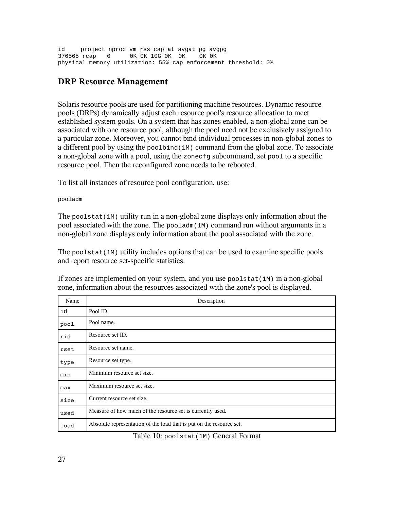id project nproc vm rss cap at avgat pg avgpg 376565 rcap 0 0K 0K 10G 0K 0K 0K 0K physical memory utilization: 55% cap enforcement threshold: 0%

## **DRP Resource Management**

Solaris resource pools are used for partitioning machine resources. Dynamic resource pools (DRPs) dynamically adjust each resource pool's resource allocation to meet established system goals. On a system that has zones enabled, a non-global zone can be associated with one resource pool, although the pool need not be exclusively assigned to a particular zone. Moreover, you cannot bind individual processes in non-global zones to a different pool by using the  $p \circ \text{obind}(1M)$  command from the global zone. To associate a non-global zone with a pool, using the zonecfg subcommand, set pool to a specific resource pool. Then the reconfigured zone needs to be rebooted.

To list all instances of resource pool configuration, use:

pooladm

The poolstat( $1M$ ) utility run in a non-global zone displays only information about the pool associated with the zone. The pooladm(1M) command run without arguments in a non-global zone displays only information about the pool associated with the zone.

The poolstat( $1M$ ) utility includes options that can be used to examine specific pools and report resource set-specific statistics.

If zones are implemented on your system, and you use  $p$  $\circ$  $\circ$ lstat(1M) in a non-global zone, information about the resources associated with the zone's pool is displayed.

| Name | Description                                                          |
|------|----------------------------------------------------------------------|
| id   | Pool ID.                                                             |
| pool | Pool name.                                                           |
| rid  | Resource set ID.                                                     |
| rset | Resource set name.                                                   |
| type | Resource set type.                                                   |
| min  | Minimum resource set size.                                           |
| max  | Maximum resource set size.                                           |
| size | Current resource set size.                                           |
| used | Measure of how much of the resource set is currently used.           |
| load | Absolute representation of the load that is put on the resource set. |

Table 10: poolstat(1M) General Format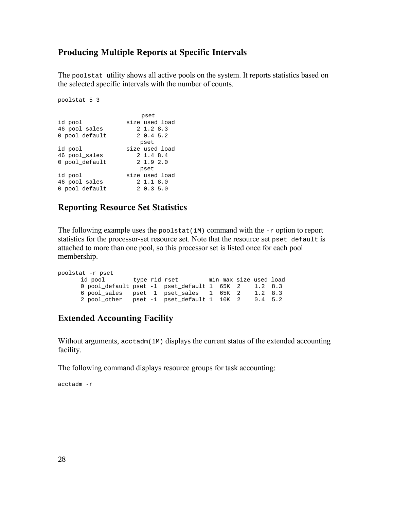## **Producing Multiple Reports at Specific Intervals**

The poolstat utility shows all active pools on the system. It reports statistics based on the selected specific intervals with the number of counts.

```
poolstat 5 3
                pset
id pool size used load 
46 pool_sales 2 1.2 8.3
0 pool_default 2 0.4 5.2
                pset
id pool size used load
46 pool_sales 2 1.4 8.4
0 pool_default 2 1.9 2.0
                pset
id pool size used load
46 pool_sales 2 1.1 8.0
0 pool_default 2 0.3 5.0
```
## **Reporting Resource Set Statistics**

The following example uses the poolstat(1M) command with the  $-r$  option to report statistics for the processor-set resource set. Note that the resource set pset default is attached to more than one pool, so this processor set is listed once for each pool membership.

```
poolstat -r pset
     id pool type rid rset min max size used load
     0 pool_default pset -1 pset_default 1 65K 2 1.2 8.3
     6 pool_sales pset 1 pset_sales 1 65K 2 1.2 8.3
     2 pool_other pset -1 pset_default 1 10K 2 0.4 5.2
```
## **Extended Accounting Facility**

Without arguments, acctadm(1M) displays the current status of the extended accounting facility.

The following command displays resource groups for task accounting:

acctadm -r